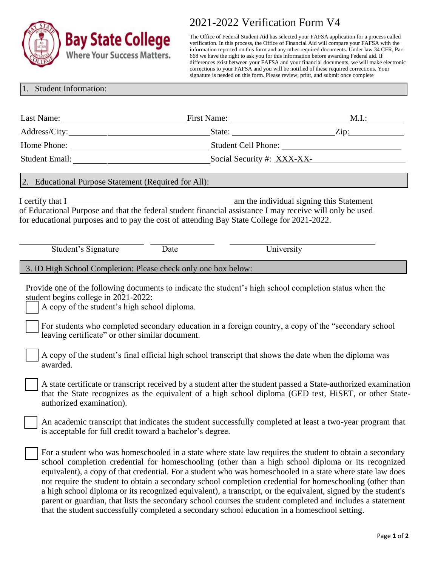

## 2021-2022 Verification Form V4

The Office of Federal Student Aid has selected your FAFSA application for a process called verification. In this process, the Office of Financial Aid will compare your FAFSA with the information reported on this form and any other required documents. Under law 34 CFR, Part 668 we have the right to ask you for this information before awarding Federal aid. If differences exist between your FAFSA and your financial documents, we will make electronic corrections to your FAFSA and you will be notified of these required corrections. Your signature is needed on this form. Please review, print, and submit once complete

## 1. Student Information:

|                                                                                                                                                                                                                                                       |                                                                                                                                                                                                                                                                                                                                                                                                                                                                                                                                                                                                                                                                                                                                                                          | $\text{State:}$ $\qquad \qquad \text{Zip:}$ |  |
|-------------------------------------------------------------------------------------------------------------------------------------------------------------------------------------------------------------------------------------------------------|--------------------------------------------------------------------------------------------------------------------------------------------------------------------------------------------------------------------------------------------------------------------------------------------------------------------------------------------------------------------------------------------------------------------------------------------------------------------------------------------------------------------------------------------------------------------------------------------------------------------------------------------------------------------------------------------------------------------------------------------------------------------------|---------------------------------------------|--|
|                                                                                                                                                                                                                                                       |                                                                                                                                                                                                                                                                                                                                                                                                                                                                                                                                                                                                                                                                                                                                                                          |                                             |  |
|                                                                                                                                                                                                                                                       | Student Email: Student Email: Student Email: Social Security #: XXX-XX-                                                                                                                                                                                                                                                                                                                                                                                                                                                                                                                                                                                                                                                                                                  |                                             |  |
| 2. Educational Purpose Statement (Required for All):                                                                                                                                                                                                  |                                                                                                                                                                                                                                                                                                                                                                                                                                                                                                                                                                                                                                                                                                                                                                          |                                             |  |
|                                                                                                                                                                                                                                                       | I certify that I<br>of Educational Purpose and that the federal student financial assistance I may receive will only be used<br>for educational purposes and to pay the cost of attending Bay State College for 2021-2022.                                                                                                                                                                                                                                                                                                                                                                                                                                                                                                                                               |                                             |  |
| Student's Signature                                                                                                                                                                                                                                   | Date                                                                                                                                                                                                                                                                                                                                                                                                                                                                                                                                                                                                                                                                                                                                                                     | University                                  |  |
| 3. ID High School Completion: Please check only one box below:                                                                                                                                                                                        |                                                                                                                                                                                                                                                                                                                                                                                                                                                                                                                                                                                                                                                                                                                                                                          |                                             |  |
| student begins college in 2021-2022:<br>A copy of the student's high school diploma.<br>leaving certificate" or other similar document.<br>awarded.                                                                                                   | Provide one of the following documents to indicate the student's high school completion status when the<br>For students who completed secondary education in a foreign country, a copy of the "secondary school"<br>A copy of the student's final official high school transcript that shows the date when the diploma was                                                                                                                                                                                                                                                                                                                                                                                                                                               |                                             |  |
| A state certificate or transcript received by a student after the student passed a State-authorized examination<br>that the State recognizes as the equivalent of a high school diploma (GED test, HiSET, or other State-<br>authorized examination). |                                                                                                                                                                                                                                                                                                                                                                                                                                                                                                                                                                                                                                                                                                                                                                          |                                             |  |
|                                                                                                                                                                                                                                                       | An academic transcript that indicates the student successfully completed at least a two-year program that<br>is acceptable for full credit toward a bachelor's degree.                                                                                                                                                                                                                                                                                                                                                                                                                                                                                                                                                                                                   |                                             |  |
|                                                                                                                                                                                                                                                       | For a student who was homeschooled in a state where state law requires the student to obtain a secondary<br>school completion credential for homeschooling (other than a high school diploma or its recognized<br>equivalent), a copy of that credential. For a student who was homeschooled in a state where state law does<br>not require the student to obtain a secondary school completion credential for homeschooling (other than<br>a high school diploma or its recognized equivalent), a transcript, or the equivalent, signed by the student's<br>parent or guardian, that lists the secondary school courses the student completed and includes a statement<br>that the student successfully completed a secondary school education in a homeschool setting. |                                             |  |